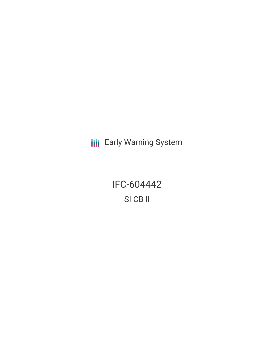**III** Early Warning System

IFC-604442 SI CB II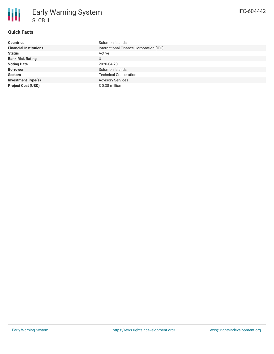# **Quick Facts**

| <b>Countries</b>              | Solomon Islands                         |
|-------------------------------|-----------------------------------------|
| <b>Financial Institutions</b> | International Finance Corporation (IFC) |
| <b>Status</b>                 | Active                                  |
| <b>Bank Risk Rating</b>       | U                                       |
| <b>Voting Date</b>            | 2020-04-20                              |
| <b>Borrower</b>               | Solomon Islands                         |
| <b>Sectors</b>                | <b>Technical Cooperation</b>            |
| <b>Investment Type(s)</b>     | <b>Advisory Services</b>                |
| <b>Project Cost (USD)</b>     | \$0.38 million                          |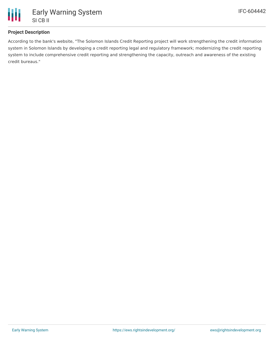

## **Project Description**

According to the bank's website, "The Solomon Islands Credit Reporting project will work strengthening the credit information system in Solomon Islands by developing a credit reporting legal and regulatory framework; modernizing the credit reporting system to include comprehensive credit reporting and strengthening the capacity, outreach and awareness of the existing credit bureaus."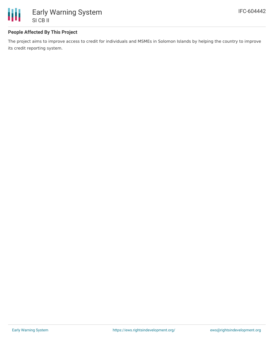

### **People Affected By This Project**

The project aims to improve access to credit for individuals and MSMEs in Solomon Islands by helping the country to improve its credit reporting system.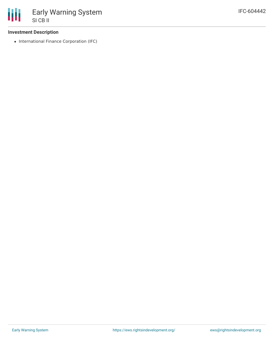

#### **Investment Description**

• International Finance Corporation (IFC)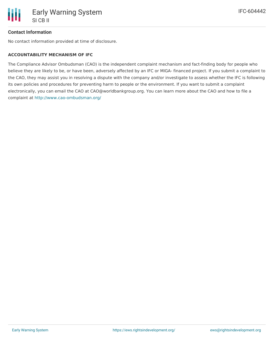

#### **Contact Information**

No contact information provided at time of disclosure.

#### **ACCOUNTABILITY MECHANISM OF IFC**

The Compliance Advisor Ombudsman (CAO) is the independent complaint mechanism and fact-finding body for people who believe they are likely to be, or have been, adversely affected by an IFC or MIGA- financed project. If you submit a complaint to the CAO, they may assist you in resolving a dispute with the company and/or investigate to assess whether the IFC is following its own policies and procedures for preventing harm to people or the environment. If you want to submit a complaint electronically, you can email the CAO at CAO@worldbankgroup.org. You can learn more about the CAO and how to file a complaint at <http://www.cao-ombudsman.org/>